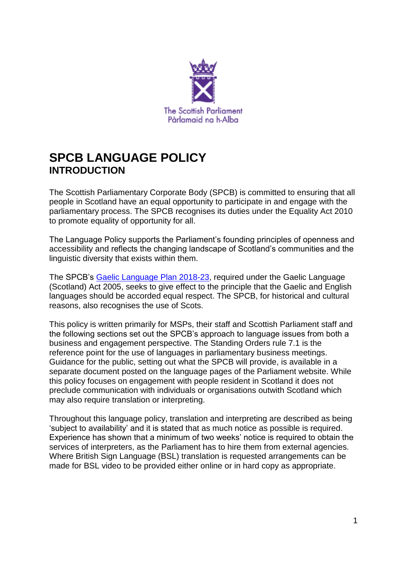

# **SPCB LANGUAGE POLICY INTRODUCTION**

The Scottish Parliamentary Corporate Body (SPCB) is committed to ensuring that all people in Scotland have an equal opportunity to participate in and engage with the parliamentary process. The SPCB recognises its duties under the Equality Act 2010 to promote equality of opportunity for all.

The Language Policy supports the Parliament's founding principles of openness and accessibility and reflects the changing landscape of Scotland's communities and the linguistic diversity that exists within them.

The SPCB's [Gaelic Language Plan 2018-23,](http://www.parliament.scot/help/106183.aspx) required under the Gaelic Language (Scotland) Act 2005, seeks to give effect to the principle that the Gaelic and English languages should be accorded equal respect. The SPCB, for historical and cultural reasons, also recognises the use of Scots.

This policy is written primarily for MSPs, their staff and Scottish Parliament staff and the following sections set out the SPCB's approach to language issues from both a business and engagement perspective. The Standing Orders rule 7.1 is the reference point for the use of languages in parliamentary business meetings. Guidance for the public, setting out what the SPCB will provide, is available in a separate document posted on the language pages of the Parliament website. While this policy focuses on engagement with people resident in Scotland it does not preclude communication with individuals or organisations outwith Scotland which may also require translation or interpreting.

Throughout this language policy, translation and interpreting are described as being 'subject to availability' and it is stated that as much notice as possible is required. Experience has shown that a minimum of two weeks' notice is required to obtain the services of interpreters, as the Parliament has to hire them from external agencies. Where British Sign Language (BSL) translation is requested arrangements can be made for BSL video to be provided either online or in hard copy as appropriate.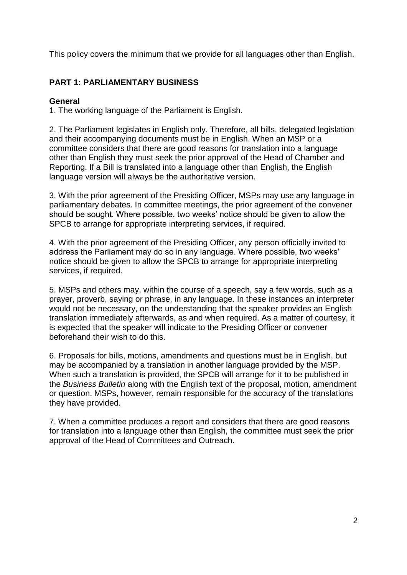This policy covers the minimum that we provide for all languages other than English.

## **PART 1: PARLIAMENTARY BUSINESS**

## **General**

1. The working language of the Parliament is English.

2. The Parliament legislates in English only. Therefore, all bills, delegated legislation and their accompanying documents must be in English. When an MSP or a committee considers that there are good reasons for translation into a language other than English they must seek the prior approval of the Head of Chamber and Reporting. If a Bill is translated into a language other than English, the English language version will always be the authoritative version.

3. With the prior agreement of the Presiding Officer, MSPs may use any language in parliamentary debates. In committee meetings, the prior agreement of the convener should be sought. Where possible, two weeks' notice should be given to allow the SPCB to arrange for appropriate interpreting services, if required.

4. With the prior agreement of the Presiding Officer, any person officially invited to address the Parliament may do so in any language. Where possible, two weeks' notice should be given to allow the SPCB to arrange for appropriate interpreting services, if required.

5. MSPs and others may, within the course of a speech, say a few words, such as a prayer, proverb, saying or phrase, in any language. In these instances an interpreter would not be necessary, on the understanding that the speaker provides an English translation immediately afterwards, as and when required. As a matter of courtesy, it is expected that the speaker will indicate to the Presiding Officer or convener beforehand their wish to do this.

6. Proposals for bills, motions, amendments and questions must be in English, but may be accompanied by a translation in another language provided by the MSP. When such a translation is provided, the SPCB will arrange for it to be published in the *Business Bulletin* along with the English text of the proposal, motion, amendment or question. MSPs, however, remain responsible for the accuracy of the translations they have provided.

7. When a committee produces a report and considers that there are good reasons for translation into a language other than English, the committee must seek the prior approval of the Head of Committees and Outreach.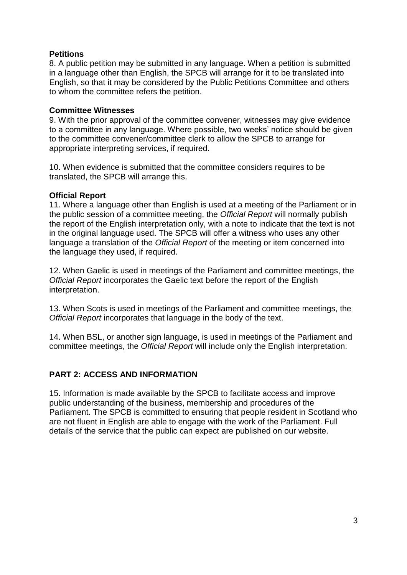## **Petitions**

8. A public petition may be submitted in any language. When a petition is submitted in a language other than English, the SPCB will arrange for it to be translated into English, so that it may be considered by the Public Petitions Committee and others to whom the committee refers the petition.

## **Committee Witnesses**

9. With the prior approval of the committee convener, witnesses may give evidence to a committee in any language. Where possible, two weeks' notice should be given to the committee convener/committee clerk to allow the SPCB to arrange for appropriate interpreting services, if required.

10. When evidence is submitted that the committee considers requires to be translated, the SPCB will arrange this.

## **Official Report**

11. Where a language other than English is used at a meeting of the Parliament or in the public session of a committee meeting, the *Official Report* will normally publish the report of the English interpretation only, with a note to indicate that the text is not in the original language used. The SPCB will offer a witness who uses any other language a translation of the *Official Report* of the meeting or item concerned into the language they used, if required.

12. When Gaelic is used in meetings of the Parliament and committee meetings, the *Official Report* incorporates the Gaelic text before the report of the English interpretation.

13. When Scots is used in meetings of the Parliament and committee meetings, the *Official Report* incorporates that language in the body of the text.

14. When BSL, or another sign language, is used in meetings of the Parliament and committee meetings, the *Official Report* will include only the English interpretation.

## **PART 2: ACCESS AND INFORMATION**

15. Information is made available by the SPCB to facilitate access and improve public understanding of the business, membership and procedures of the Parliament. The SPCB is committed to ensuring that people resident in Scotland who are not fluent in English are able to engage with the work of the Parliament. Full details of the service that the public can expect are published on our website.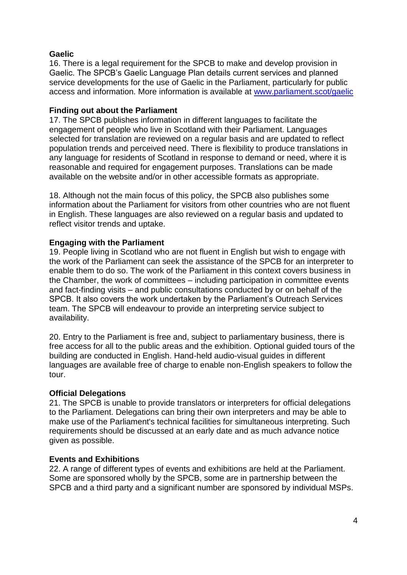## **Gaelic**

16. There is a legal requirement for the SPCB to make and develop provision in Gaelic. The SPCB's Gaelic Language Plan details current services and planned service developments for the use of Gaelic in the Parliament, particularly for public access and information. More information is available at [www.parliament.scot/gaelic](http://www.parliament.scot/gaelic)

#### **Finding out about the Parliament**

17. The SPCB publishes information in different languages to facilitate the engagement of people who live in Scotland with their Parliament. Languages selected for translation are reviewed on a regular basis and are updated to reflect population trends and perceived need. There is flexibility to produce translations in any language for residents of Scotland in response to demand or need, where it is reasonable and required for engagement purposes. Translations can be made available on the website and/or in other accessible formats as appropriate.

18. Although not the main focus of this policy, the SPCB also publishes some information about the Parliament for visitors from other countries who are not fluent in English. These languages are also reviewed on a regular basis and updated to reflect visitor trends and uptake.

#### **Engaging with the Parliament**

19. People living in Scotland who are not fluent in English but wish to engage with the work of the Parliament can seek the assistance of the SPCB for an interpreter to enable them to do so. The work of the Parliament in this context covers business in the Chamber, the work of committees – including participation in committee events and fact-finding visits – and public consultations conducted by or on behalf of the SPCB. It also covers the work undertaken by the Parliament's Outreach Services team. The SPCB will endeavour to provide an interpreting service subject to availability.

20. Entry to the Parliament is free and, subject to parliamentary business, there is free access for all to the public areas and the exhibition. Optional guided tours of the building are conducted in English. Hand-held audio-visual guides in different languages are available free of charge to enable non-English speakers to follow the tour.

#### **Official Delegations**

21. The SPCB is unable to provide translators or interpreters for official delegations to the Parliament. Delegations can bring their own interpreters and may be able to make use of the Parliament's technical facilities for simultaneous interpreting. Such requirements should be discussed at an early date and as much advance notice given as possible.

#### **Events and Exhibitions**

22. A range of different types of events and exhibitions are held at the Parliament. Some are sponsored wholly by the SPCB, some are in partnership between the SPCB and a third party and a significant number are sponsored by individual MSPs.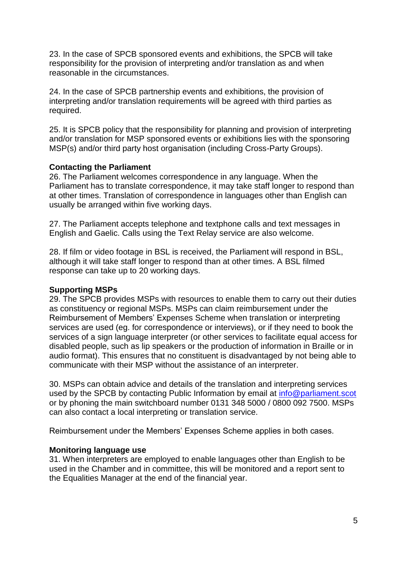23. In the case of SPCB sponsored events and exhibitions, the SPCB will take responsibility for the provision of interpreting and/or translation as and when reasonable in the circumstances.

24. In the case of SPCB partnership events and exhibitions, the provision of interpreting and/or translation requirements will be agreed with third parties as required.

25. It is SPCB policy that the responsibility for planning and provision of interpreting and/or translation for MSP sponsored events or exhibitions lies with the sponsoring MSP(s) and/or third party host organisation (including Cross-Party Groups).

#### **Contacting the Parliament**

26. The Parliament welcomes correspondence in any language. When the Parliament has to translate correspondence, it may take staff longer to respond than at other times. Translation of correspondence in languages other than English can usually be arranged within five working days.

27. The Parliament accepts telephone and textphone calls and text messages in English and Gaelic. Calls using the Text Relay service are also welcome.

28. If film or video footage in BSL is received, the Parliament will respond in BSL, although it will take staff longer to respond than at other times. A BSL filmed response can take up to 20 working days.

#### **Supporting MSPs**

29. The SPCB provides MSPs with resources to enable them to carry out their duties as constituency or regional MSPs. MSPs can claim reimbursement under the Reimbursement of Members' Expenses Scheme when translation or interpreting services are used (eg. for correspondence or interviews), or if they need to book the services of a sign language interpreter (or other services to facilitate equal access for disabled people, such as lip speakers or the production of information in Braille or in audio format). This ensures that no constituent is disadvantaged by not being able to communicate with their MSP without the assistance of an interpreter.

30. MSPs can obtain advice and details of the translation and interpreting services used by the SPCB by contacting Public Information by email at [info@parliament.scot](mailto:info@parliament.scot) or by phoning the main switchboard number 0131 348 5000 / 0800 092 7500. MSPs can also contact a local interpreting or translation service.

Reimbursement under the Members' Expenses Scheme applies in both cases.

#### **Monitoring language use**

31. When interpreters are employed to enable languages other than English to be used in the Chamber and in committee, this will be monitored and a report sent to the Equalities Manager at the end of the financial year.